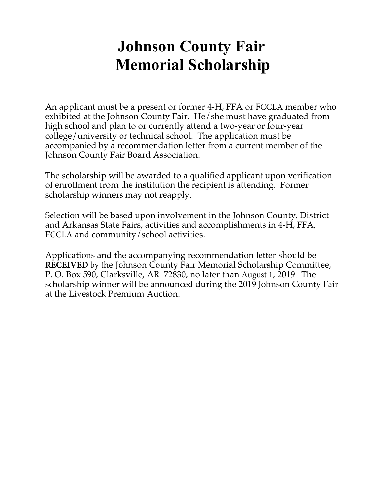## **Johnson County Fair Memorial Scholarship**

An applicant must be a present or former 4-H, FFA or FCCLA member who exhibited at the Johnson County Fair. He/she must have graduated from high school and plan to or currently attend a two-year or four-year college/university or technical school. The application must be accompanied by a recommendation letter from a current member of the Johnson County Fair Board Association.

The scholarship will be awarded to a qualified applicant upon verification of enrollment from the institution the recipient is attending. Former scholarship winners may not reapply.

Selection will be based upon involvement in the Johnson County, District and Arkansas State Fairs, activities and accomplishments in 4-H, FFA, FCCLA and community/school activities.

Applications and the accompanying recommendation letter should be **RECEIVED** by the Johnson County Fair Memorial Scholarship Committee, P. O. Box 590, Clarksville, AR 72830, no later than August 1, 2019. The scholarship winner will be announced during the 2019 Johnson County Fair at the Livestock Premium Auction.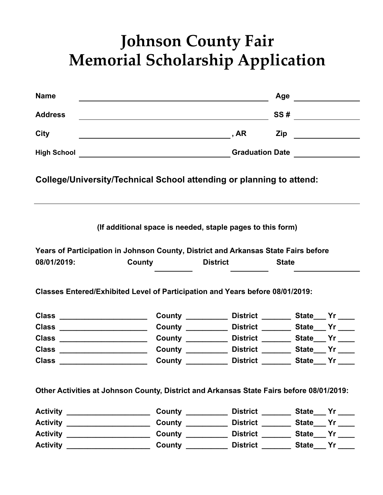## **Johnson County Fair Memorial Scholarship Application**

| <b>Name</b>        |                                                                                                                       |                        | Age $\qquad \qquad \qquad$           |
|--------------------|-----------------------------------------------------------------------------------------------------------------------|------------------------|--------------------------------------|
| <b>Address</b>     |                                                                                                                       |                        |                                      |
| City               | <u> 1980 - Johann Barn, mars ann an t-Amhainn an t-Amhainn an t-Amhainn an t-Amhainn an t-Amhainn an t-Amhainn an</u> | , AR                   |                                      |
| <b>High School</b> |                                                                                                                       |                        |                                      |
|                    | College/University/Technical School attending or planning to attend:                                                  |                        |                                      |
|                    | (If additional space is needed, staple pages to this form)                                                            |                        |                                      |
|                    | Years of Participation in Johnson County, District and Arkansas State Fairs before                                    |                        |                                      |
| 08/01/2019:        |                                                                                                                       | <b>County District</b> | <b>State</b>                         |
|                    | Classes Entered/Exhibited Level of Participation and Years before 08/01/2019:                                         |                        |                                      |
|                    |                                                                                                                       |                        |                                      |
|                    |                                                                                                                       |                        |                                      |
|                    |                                                                                                                       |                        |                                      |
|                    |                                                                                                                       |                        |                                      |
|                    |                                                                                                                       |                        |                                      |
|                    | Other Activities at Johnson County, District and Arkansas State Fairs before 08/01/2019:                              |                        |                                      |
|                    |                                                                                                                       |                        |                                      |
|                    |                                                                                                                       |                        | District __________ State___ Yr ____ |
|                    |                                                                                                                       |                        | District __________ State___ Yr ____ |
|                    |                                                                                                                       |                        | District State Yr                    |